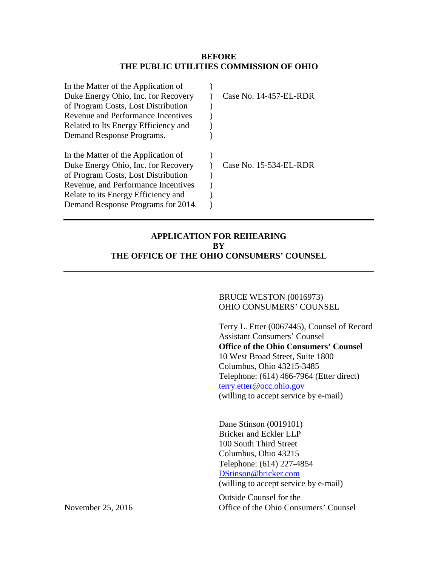### **BEFORE THE PUBLIC UTILITIES COMMISSION OF OHIO**

| Case No. 14-457-EL-RDR |
|------------------------|
|                        |
|                        |
|                        |
|                        |
|                        |
|                        |
| Case No. 15-534-EL-RDR |
|                        |
|                        |
|                        |
|                        |
|                        |

# **APPLICATION FOR REHEARING BY THE OFFICE OF THE OHIO CONSUMERS' COUNSEL**

BRUCE WESTON (0016973) OHIO CONSUMERS' COUNSEL

Terry L. Etter (0067445), Counsel of Record Assistant Consumers' Counsel **Office of the Ohio Consumers' Counsel**  10 West Broad Street, Suite 1800 Columbus, Ohio 43215-3485 Telephone: (614) 466-7964 (Etter direct) terry.etter@occ.ohio.gov (willing to accept service by e-mail)

Dane Stinson (0019101) Bricker and Eckler LLP 100 South Third Street Columbus, Ohio 43215 Telephone: (614) 227-4854 DStinson@bricker.com (willing to accept service by e-mail)

Outside Counsel for the November 25, 2016 Office of the Ohio Consumers' Counsel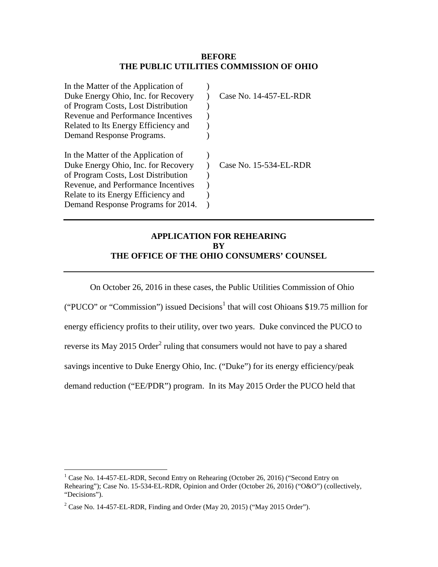### **BEFORE THE PUBLIC UTILITIES COMMISSION OF OHIO**

| In the Matter of the Application of  |                        |
|--------------------------------------|------------------------|
| Duke Energy Ohio, Inc. for Recovery  | Case No. 14-457-EL-RDR |
| of Program Costs, Lost Distribution  |                        |
| Revenue and Performance Incentives   |                        |
| Related to Its Energy Efficiency and |                        |
| Demand Response Programs.            |                        |
|                                      |                        |
| In the Matter of the Application of  |                        |
| Duke Energy Ohio, Inc. for Recovery  | Case No. 15-534-EL-RDR |
| of Program Costs, Lost Distribution  |                        |
| Revenue, and Performance Incentives  |                        |
|                                      |                        |
| Relate to its Energy Efficiency and  |                        |

# **APPLICATION FOR REHEARING BY THE OFFICE OF THE OHIO CONSUMERS' COUNSEL**

On October 26, 2016 in these cases, the Public Utilities Commission of Ohio ("PUCO" or "Commission") issued Decisions<sup>1</sup> that will cost Ohioans \$19.75 million for energy efficiency profits to their utility, over two years. Duke convinced the PUCO to reverse its May 2015 Order<sup>2</sup> ruling that consumers would not have to pay a shared savings incentive to Duke Energy Ohio, Inc. ("Duke") for its energy efficiency/peak demand reduction ("EE/PDR") program. In its May 2015 Order the PUCO held that

<sup>&</sup>lt;sup>1</sup> Case No. 14-457-EL-RDR, Second Entry on Rehearing (October 26, 2016) ("Second Entry on Rehearing"); Case No. 15-534-EL-RDR, Opinion and Order (October 26, 2016) ("O&O") (collectively, "Decisions").

<sup>&</sup>lt;sup>2</sup> Case No. 14-457-EL-RDR, Finding and Order (May 20, 2015) ("May 2015 Order").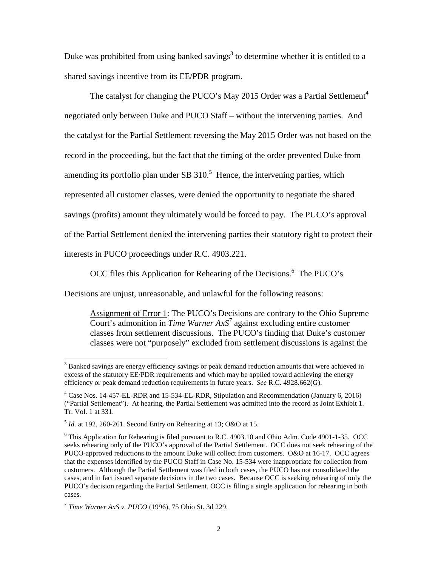Duke was prohibited from using banked savings<sup>3</sup> to determine whether it is entitled to a shared savings incentive from its EE/PDR program.

The catalyst for changing the PUCO's May 2015 Order was a Partial Settlement<sup>4</sup> negotiated only between Duke and PUCO Staff – without the intervening parties. And the catalyst for the Partial Settlement reversing the May 2015 Order was not based on the record in the proceeding, but the fact that the timing of the order prevented Duke from amending its portfolio plan under SB  $310<sup>5</sup>$  Hence, the intervening parties, which represented all customer classes, were denied the opportunity to negotiate the shared savings (profits) amount they ultimately would be forced to pay. The PUCO's approval of the Partial Settlement denied the intervening parties their statutory right to protect their interests in PUCO proceedings under R.C. 4903.221.

OCC files this Application for Rehearing of the Decisions.<sup>6</sup> The PUCO's

Decisions are unjust, unreasonable, and unlawful for the following reasons:

Assignment of Error 1: The PUCO's Decisions are contrary to the Ohio Supreme Court's admonition in *Time Warner AxS<sup>7</sup>* against excluding entire customer classes from settlement discussions. The PUCO's finding that Duke's customer classes were not "purposely" excluded from settlement discussions is against the

<sup>&</sup>lt;sup>3</sup> Banked savings are energy efficiency savings or peak demand reduction amounts that were achieved in excess of the statutory EE/PDR requirements and which may be applied toward achieving the energy efficiency or peak demand reduction requirements in future years. *See* R.C. 4928.662(G).

<sup>&</sup>lt;sup>4</sup> Case Nos. 14-457-EL-RDR and 15-534-EL-RDR, Stipulation and Recommendation (January 6, 2016) ("Partial Settlement"). At hearing, the Partial Settlement was admitted into the record as Joint Exhibit 1. Tr. Vol. 1 at 331.

<sup>5</sup> *Id.* at 192, 260-261. Second Entry on Rehearing at 13; O&O at 15.

<sup>&</sup>lt;sup>6</sup> This Application for Rehearing is filed pursuant to R.C. 4903.10 and Ohio Adm. Code 4901-1-35. OCC seeks rehearing only of the PUCO's approval of the Partial Settlement. OCC does not seek rehearing of the PUCO-approved reductions to the amount Duke will collect from customers. O&O at 16-17. OCC agrees that the expenses identified by the PUCO Staff in Case No. 15-534 were inappropriate for collection from customers. Although the Partial Settlement was filed in both cases, the PUCO has not consolidated the cases, and in fact issued separate decisions in the two cases. Because OCC is seeking rehearing of only the PUCO's decision regarding the Partial Settlement, OCC is filing a single application for rehearing in both cases.

<sup>7</sup> *Time Warner AxS v. PUCO* (1996), 75 Ohio St. 3d 229.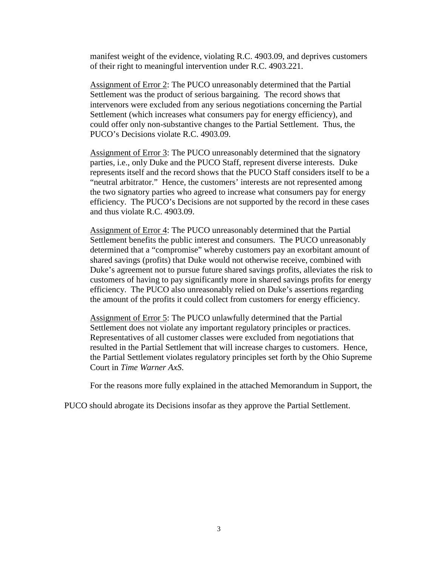manifest weight of the evidence, violating R.C. 4903.09, and deprives customers of their right to meaningful intervention under R.C. 4903.221.

Assignment of Error 2: The PUCO unreasonably determined that the Partial Settlement was the product of serious bargaining. The record shows that intervenors were excluded from any serious negotiations concerning the Partial Settlement (which increases what consumers pay for energy efficiency), and could offer only non-substantive changes to the Partial Settlement. Thus, the PUCO's Decisions violate R.C. 4903.09.

Assignment of Error 3: The PUCO unreasonably determined that the signatory parties, i.e., only Duke and the PUCO Staff, represent diverse interests. Duke represents itself and the record shows that the PUCO Staff considers itself to be a "neutral arbitrator." Hence, the customers' interests are not represented among the two signatory parties who agreed to increase what consumers pay for energy efficiency. The PUCO's Decisions are not supported by the record in these cases and thus violate R.C. 4903.09.

Assignment of Error 4: The PUCO unreasonably determined that the Partial Settlement benefits the public interest and consumers. The PUCO unreasonably determined that a "compromise" whereby customers pay an exorbitant amount of shared savings (profits) that Duke would not otherwise receive, combined with Duke's agreement not to pursue future shared savings profits, alleviates the risk to customers of having to pay significantly more in shared savings profits for energy efficiency. The PUCO also unreasonably relied on Duke's assertions regarding the amount of the profits it could collect from customers for energy efficiency.

Assignment of Error 5: The PUCO unlawfully determined that the Partial Settlement does not violate any important regulatory principles or practices. Representatives of all customer classes were excluded from negotiations that resulted in the Partial Settlement that will increase charges to customers. Hence, the Partial Settlement violates regulatory principles set forth by the Ohio Supreme Court in *Time Warner AxS*.

For the reasons more fully explained in the attached Memorandum in Support, the

PUCO should abrogate its Decisions insofar as they approve the Partial Settlement.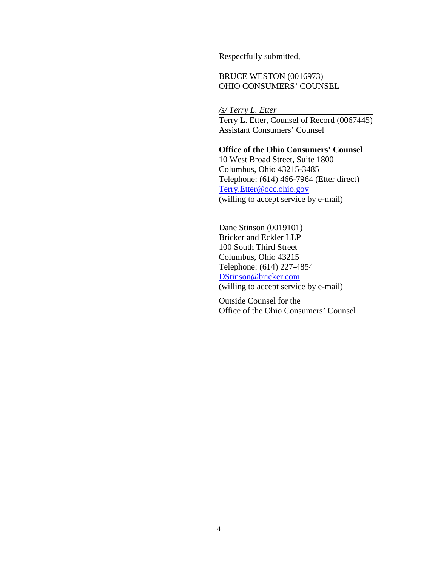Respectfully submitted,

## BRUCE WESTON (0016973) OHIO CONSUMERS' COUNSEL

*/s/ Terry L. Etter* 

Terry L. Etter, Counsel of Record (0067445) Assistant Consumers' Counsel

## **Office of the Ohio Consumers' Counsel**

10 West Broad Street, Suite 1800 Columbus, Ohio 43215-3485 Telephone: (614) 466-7964 (Etter direct) Terry.Etter@occ.ohio.gov (willing to accept service by e-mail)

Dane Stinson (0019101) Bricker and Eckler LLP 100 South Third Street Columbus, Ohio 43215 Telephone: (614) 227-4854 DStinson@bricker.com (willing to accept service by e-mail)

Outside Counsel for the Office of the Ohio Consumers' Counsel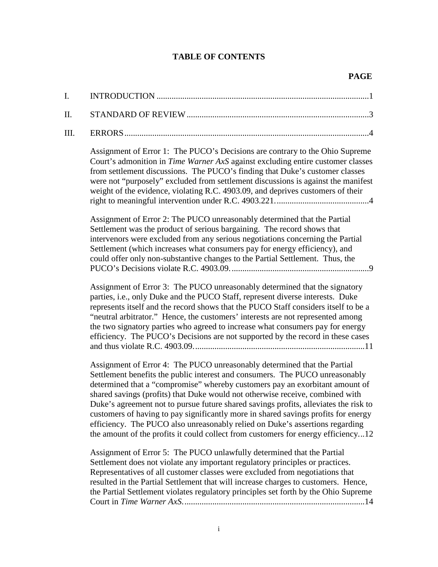# **TABLE OF CONTENTS**

| I. |                                                                                                                                                                                                                                                                                                                                                                                                                                                                                                                                                                                                                                                                              |
|----|------------------------------------------------------------------------------------------------------------------------------------------------------------------------------------------------------------------------------------------------------------------------------------------------------------------------------------------------------------------------------------------------------------------------------------------------------------------------------------------------------------------------------------------------------------------------------------------------------------------------------------------------------------------------------|
| Π. |                                                                                                                                                                                                                                                                                                                                                                                                                                                                                                                                                                                                                                                                              |
| Ш. |                                                                                                                                                                                                                                                                                                                                                                                                                                                                                                                                                                                                                                                                              |
|    | Assignment of Error 1: The PUCO's Decisions are contrary to the Ohio Supreme<br>Court's admonition in Time Warner AxS against excluding entire customer classes<br>from settlement discussions. The PUCO's finding that Duke's customer classes<br>were not "purposely" excluded from settlement discussions is against the manifest<br>weight of the evidence, violating R.C. 4903.09, and deprives customers of their                                                                                                                                                                                                                                                      |
|    | Assignment of Error 2: The PUCO unreasonably determined that the Partial<br>Settlement was the product of serious bargaining. The record shows that<br>intervenors were excluded from any serious negotiations concerning the Partial<br>Settlement (which increases what consumers pay for energy efficiency), and<br>could offer only non-substantive changes to the Partial Settlement. Thus, the                                                                                                                                                                                                                                                                         |
|    | Assignment of Error 3: The PUCO unreasonably determined that the signatory<br>parties, i.e., only Duke and the PUCO Staff, represent diverse interests. Duke<br>represents itself and the record shows that the PUCO Staff considers itself to be a<br>"neutral arbitrator." Hence, the customers' interests are not represented among<br>the two signatory parties who agreed to increase what consumers pay for energy<br>efficiency. The PUCO's Decisions are not supported by the record in these cases                                                                                                                                                                  |
|    | Assignment of Error 4: The PUCO unreasonably determined that the Partial<br>Settlement benefits the public interest and consumers. The PUCO unreasonably<br>determined that a "compromise" whereby customers pay an exorbitant amount of<br>shared savings (profits) that Duke would not otherwise receive, combined with<br>Duke's agreement not to pursue future shared savings profits, alleviates the risk to<br>customers of having to pay significantly more in shared savings profits for energy<br>efficiency. The PUCO also unreasonably relied on Duke's assertions regarding<br>the amount of the profits it could collect from customers for energy efficiency12 |
|    | Assignment of Error 5: The PUCO unlawfully determined that the Partial<br>Settlement does not violate any important regulatory principles or practices.<br>Representatives of all customer classes were excluded from negotiations that<br>resulted in the Partial Settlement that will increase charges to customers. Hence,<br>the Partial Settlement violates regulatory principles set forth by the Ohio Supreme                                                                                                                                                                                                                                                         |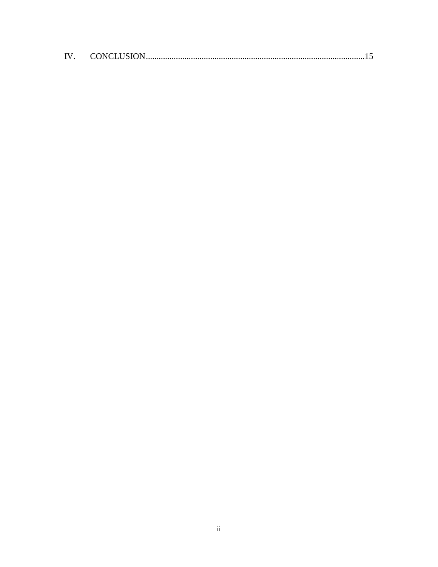| IV. |  |  |
|-----|--|--|
|-----|--|--|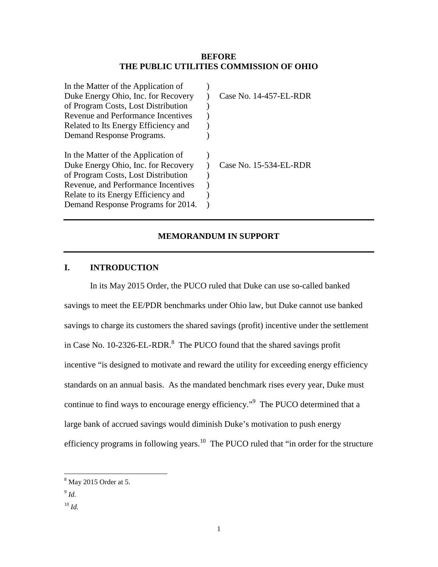#### **BEFORE THE PUBLIC UTILITIES COMMISSION OF OHIO**

| In the Matter of the Application of  |                        |
|--------------------------------------|------------------------|
| Duke Energy Ohio, Inc. for Recovery  | Case No. 14-457-EL-RDR |
| of Program Costs, Lost Distribution  |                        |
| Revenue and Performance Incentives   |                        |
| Related to Its Energy Efficiency and |                        |
| Demand Response Programs.            |                        |
| In the Matter of the Application of  |                        |
| Duke Energy Ohio, Inc. for Recovery  | Case No. 15-534-EL-RDR |
| of Program Costs, Lost Distribution  |                        |
| Revenue, and Performance Incentives  |                        |
| Relate to its Energy Efficiency and  |                        |
| Demand Response Programs for 2014.   |                        |

### **MEMORANDUM IN SUPPORT**

### **I. INTRODUCTION**

In its May 2015 Order, the PUCO ruled that Duke can use so-called banked savings to meet the EE/PDR benchmarks under Ohio law, but Duke cannot use banked savings to charge its customers the shared savings (profit) incentive under the settlement in Case No. 10-2326-EL-RDR. $^8$  The PUCO found that the shared savings profit incentive "is designed to motivate and reward the utility for exceeding energy efficiency standards on an annual basis. As the mandated benchmark rises every year, Duke must continue to find ways to encourage energy efficiency."<sup>9</sup> The PUCO determined that a large bank of accrued savings would diminish Duke's motivation to push energy efficiency programs in following years.<sup>10</sup> The PUCO ruled that "in order for the structure

 8 May 2015 Order at 5.

<sup>9</sup> *Id.* 

 $10 \,$ *Id.*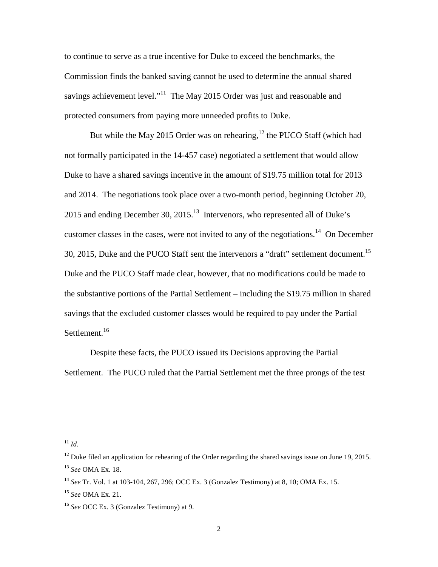to continue to serve as a true incentive for Duke to exceed the benchmarks, the Commission finds the banked saving cannot be used to determine the annual shared savings achievement level."<sup>11</sup> The May 2015 Order was just and reasonable and protected consumers from paying more unneeded profits to Duke.

But while the May 2015 Order was on rehearing,  $^{12}$  the PUCO Staff (which had not formally participated in the 14-457 case) negotiated a settlement that would allow Duke to have a shared savings incentive in the amount of \$19.75 million total for 2013 and 2014. The negotiations took place over a two-month period, beginning October 20, 2015 and ending December 30, 2015.<sup>13</sup> Intervenors, who represented all of Duke's customer classes in the cases, were not invited to any of the negotiations.<sup>14</sup> On December 30, 2015, Duke and the PUCO Staff sent the intervenors a "draft" settlement document.<sup>15</sup> Duke and the PUCO Staff made clear, however, that no modifications could be made to the substantive portions of the Partial Settlement – including the \$19.75 million in shared savings that the excluded customer classes would be required to pay under the Partial Settlement.<sup>16</sup>

Despite these facts, the PUCO issued its Decisions approving the Partial Settlement. The PUCO ruled that the Partial Settlement met the three prongs of the test

-

 $11$  *Id.* 

 $12$  Duke filed an application for rehearing of the Order regarding the shared savings issue on June 19, 2015. <sup>13</sup> *See* OMA Ex. 18.

<sup>14</sup> *See* Tr. Vol. 1 at 103-104, 267, 296; OCC Ex. 3 (Gonzalez Testimony) at 8, 10; OMA Ex. 15.

<sup>15</sup> *See* OMA Ex. 21.

<sup>16</sup> *See* OCC Ex. 3 (Gonzalez Testimony) at 9.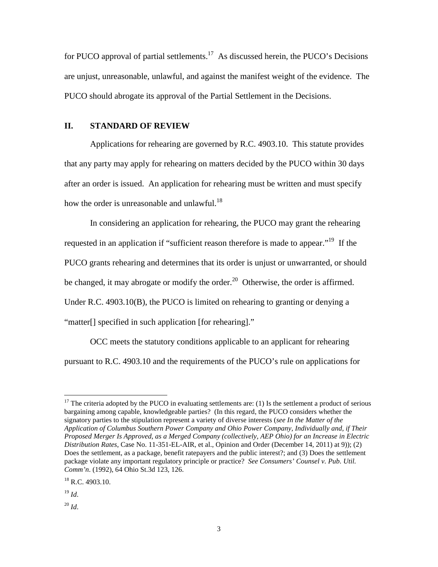for PUCO approval of partial settlements.<sup>17</sup> As discussed herein, the PUCO's Decisions are unjust, unreasonable, unlawful, and against the manifest weight of the evidence. The PUCO should abrogate its approval of the Partial Settlement in the Decisions.

#### **II. STANDARD OF REVIEW**

Applications for rehearing are governed by R.C. 4903.10. This statute provides that any party may apply for rehearing on matters decided by the PUCO within 30 days after an order is issued. An application for rehearing must be written and must specify how the order is unreasonable and unlawful.<sup>18</sup>

In considering an application for rehearing, the PUCO may grant the rehearing requested in an application if "sufficient reason therefore is made to appear."<sup>19</sup> If the PUCO grants rehearing and determines that its order is unjust or unwarranted, or should be changed, it may abrogate or modify the order.<sup>20</sup> Otherwise, the order is affirmed. Under R.C. 4903.10(B), the PUCO is limited on rehearing to granting or denying a "matter[] specified in such application [for rehearing]."

OCC meets the statutory conditions applicable to an applicant for rehearing pursuant to R.C. 4903.10 and the requirements of the PUCO's rule on applications for

-

 $17$  The criteria adopted by the PUCO in evaluating settlements are: (1) Is the settlement a product of serious bargaining among capable, knowledgeable parties? (In this regard, the PUCO considers whether the signatory parties to the stipulation represent a variety of diverse interests (*see In the Matter of the Application of Columbus Southern Power Company and Ohio Power Company, Individually and, if Their Proposed Merger Is Approved, as a Merged Company (collectively, AEP Ohio) for an Increase in Electric Distribution Rates*, Case No. 11-351-EL-AIR, et al., Opinion and Order (December 14, 2011) at 9)); (2) Does the settlement, as a package, benefit ratepayers and the public interest?; and (3) Does the settlement package violate any important regulatory principle or practice? *See Consumers' Counsel v. Pub. Util. Comm'n*. (1992), 64 Ohio St.3d 123, 126.

<sup>&</sup>lt;sup>18</sup> R.C. 4903.10.

<sup>19</sup> *Id*.

 $^{20}$  *Id.*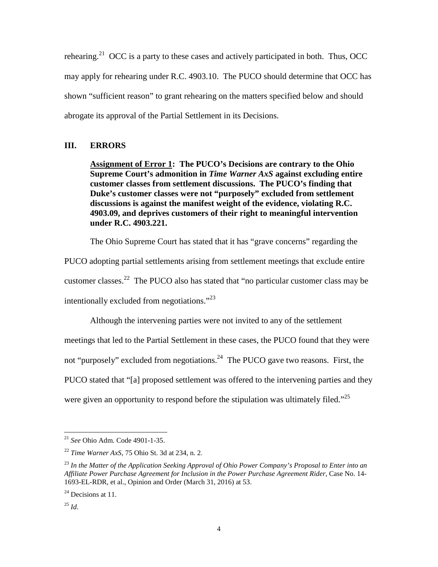rehearing.<sup>21</sup> OCC is a party to these cases and actively participated in both. Thus, OCC may apply for rehearing under R.C. 4903.10. The PUCO should determine that OCC has shown "sufficient reason" to grant rehearing on the matters specified below and should abrogate its approval of the Partial Settlement in its Decisions.

### **III. ERRORS**

**Assignment of Error 1: The PUCO's Decisions are contrary to the Ohio Supreme Court's admonition in** *Time Warner AxS* **against excluding entire customer classes from settlement discussions. The PUCO's finding that Duke's customer classes were not "purposely" excluded from settlement discussions is against the manifest weight of the evidence, violating R.C. 4903.09, and deprives customers of their right to meaningful intervention under R.C. 4903.221.** 

The Ohio Supreme Court has stated that it has "grave concerns" regarding the

PUCO adopting partial settlements arising from settlement meetings that exclude entire customer classes.<sup>22</sup> The PUCO also has stated that "no particular customer class may be intentionally excluded from negotiations."<sup>23</sup>

Although the intervening parties were not invited to any of the settlement meetings that led to the Partial Settlement in these cases, the PUCO found that they were not "purposely" excluded from negotiations.<sup>24</sup> The PUCO gave two reasons. First, the PUCO stated that "[a] proposed settlement was offered to the intervening parties and they were given an opportunity to respond before the stipulation was ultimately filed."<sup>25</sup>

<sup>21</sup> *See* Ohio Adm. Code 4901-1-35.

<sup>22</sup> *Time Warner AxS*, 75 Ohio St. 3d at 234, n. 2.

<sup>23</sup> *In the Matter of the Application Seeking Approval of Ohio Power Company's Proposal to Enter into an Affiliate Power Purchase Agreement for Inclusion in the Power Purchase Agreement Rider*, Case No. 14- 1693-EL-RDR, et al., Opinion and Order (March 31, 2016) at 53.

 $^{24}$  Decisions at 11.

 $^{25}$  *Id.*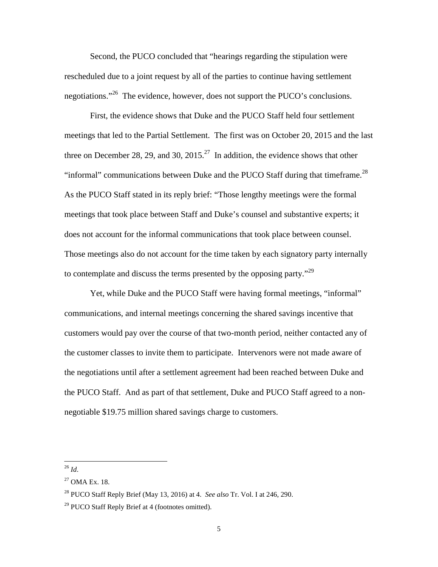Second, the PUCO concluded that "hearings regarding the stipulation were rescheduled due to a joint request by all of the parties to continue having settlement negotiations."<sup>26</sup> The evidence, however, does not support the PUCO's conclusions.

First, the evidence shows that Duke and the PUCO Staff held four settlement meetings that led to the Partial Settlement. The first was on October 20, 2015 and the last three on December 28, 29, and 30, 2015.<sup>27</sup> In addition, the evidence shows that other "informal" communications between Duke and the PUCO Staff during that timeframe.<sup>28</sup> As the PUCO Staff stated in its reply brief: "Those lengthy meetings were the formal meetings that took place between Staff and Duke's counsel and substantive experts; it does not account for the informal communications that took place between counsel. Those meetings also do not account for the time taken by each signatory party internally to contemplate and discuss the terms presented by the opposing party."<sup>29</sup>

Yet, while Duke and the PUCO Staff were having formal meetings, "informal" communications, and internal meetings concerning the shared savings incentive that customers would pay over the course of that two-month period, neither contacted any of the customer classes to invite them to participate. Intervenors were not made aware of the negotiations until after a settlement agreement had been reached between Duke and the PUCO Staff. And as part of that settlement, Duke and PUCO Staff agreed to a nonnegotiable \$19.75 million shared savings charge to customers.

<sup>26</sup> *Id*.

 $27$  OMA Ex. 18.

<sup>28</sup> PUCO Staff Reply Brief (May 13, 2016) at 4. *See also* Tr. Vol. I at 246, 290.

<sup>&</sup>lt;sup>29</sup> PUCO Staff Reply Brief at 4 (footnotes omitted).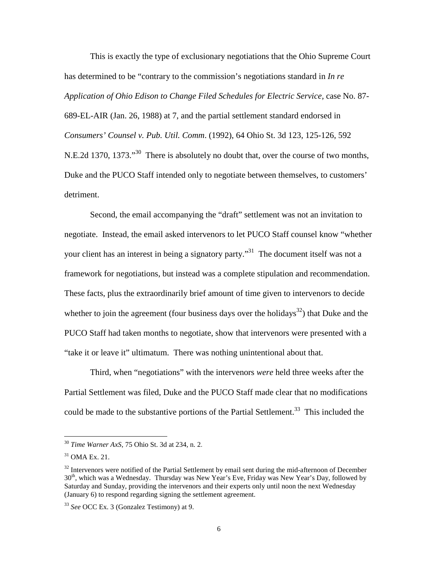This is exactly the type of exclusionary negotiations that the Ohio Supreme Court has determined to be "contrary to the commission's negotiations standard in *In re Application of Ohio Edison to Change Filed Schedules for Electric Service,* case No. 87- 689-EL-AIR (Jan. 26, 1988) at 7, and the partial settlement standard endorsed in *Consumers' Counsel v. Pub. Util. Comm*. (1992), 64 Ohio St. 3d 123, 125-126, 592 N.E.2d 1370, 1373."<sup>30</sup> There is absolutely no doubt that, over the course of two months, Duke and the PUCO Staff intended only to negotiate between themselves, to customers' detriment.

Second, the email accompanying the "draft" settlement was not an invitation to negotiate. Instead, the email asked intervenors to let PUCO Staff counsel know "whether your client has an interest in being a signatory party."<sup>31</sup> The document itself was not a framework for negotiations, but instead was a complete stipulation and recommendation. These facts, plus the extraordinarily brief amount of time given to intervenors to decide whether to join the agreement (four business days over the holidays<sup>32</sup>) that Duke and the PUCO Staff had taken months to negotiate, show that intervenors were presented with a "take it or leave it" ultimatum. There was nothing unintentional about that.

Third, when "negotiations" with the intervenors *were* held three weeks after the Partial Settlement was filed, Duke and the PUCO Staff made clear that no modifications could be made to the substantive portions of the Partial Settlement.<sup>33</sup> This included the

 $\overline{a}$ 

<sup>30</sup> *Time Warner AxS*, 75 Ohio St. 3d at 234, n. 2.

<sup>31</sup> OMA Ex. 21.

 $32$  Intervenors were notified of the Partial Settlement by email sent during the mid-afternoon of December 30<sup>th</sup>, which was a Wednesday. Thursday was New Year's Eve, Friday was New Year's Day, followed by Saturday and Sunday, providing the intervenors and their experts only until noon the next Wednesday (January 6) to respond regarding signing the settlement agreement.

<sup>33</sup> *See* OCC Ex. 3 (Gonzalez Testimony) at 9.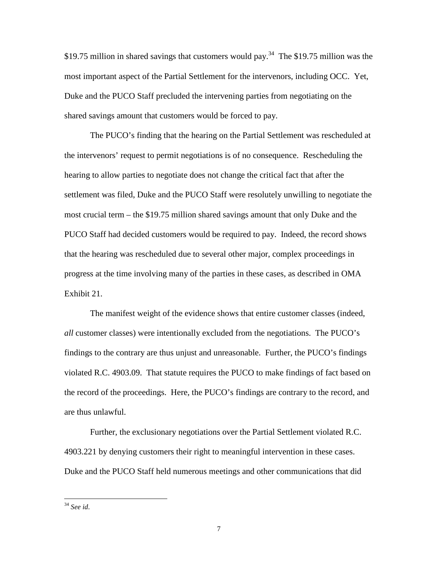\$19.75 million in shared savings that customers would pay.<sup>34</sup> The \$19.75 million was the most important aspect of the Partial Settlement for the intervenors, including OCC. Yet, Duke and the PUCO Staff precluded the intervening parties from negotiating on the shared savings amount that customers would be forced to pay.

The PUCO's finding that the hearing on the Partial Settlement was rescheduled at the intervenors' request to permit negotiations is of no consequence. Rescheduling the hearing to allow parties to negotiate does not change the critical fact that after the settlement was filed, Duke and the PUCO Staff were resolutely unwilling to negotiate the most crucial term – the \$19.75 million shared savings amount that only Duke and the PUCO Staff had decided customers would be required to pay. Indeed, the record shows that the hearing was rescheduled due to several other major, complex proceedings in progress at the time involving many of the parties in these cases, as described in OMA Exhibit 21.

The manifest weight of the evidence shows that entire customer classes (indeed, *all* customer classes) were intentionally excluded from the negotiations. The PUCO's findings to the contrary are thus unjust and unreasonable. Further, the PUCO's findings violated R.C. 4903.09. That statute requires the PUCO to make findings of fact based on the record of the proceedings. Here, the PUCO's findings are contrary to the record, and are thus unlawful.

Further, the exclusionary negotiations over the Partial Settlement violated R.C. 4903.221 by denying customers their right to meaningful intervention in these cases. Duke and the PUCO Staff held numerous meetings and other communications that did

<sup>34</sup> *See id*.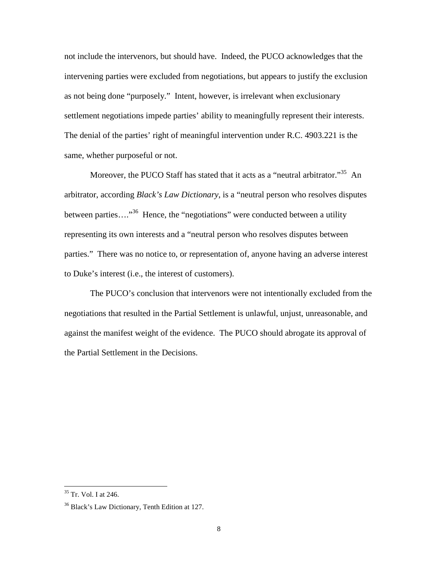not include the intervenors, but should have. Indeed, the PUCO acknowledges that the intervening parties were excluded from negotiations, but appears to justify the exclusion as not being done "purposely." Intent, however, is irrelevant when exclusionary settlement negotiations impede parties' ability to meaningfully represent their interests. The denial of the parties' right of meaningful intervention under R.C. 4903.221 is the same, whether purposeful or not.

Moreover, the PUCO Staff has stated that it acts as a "neutral arbitrator."<sup>35</sup> An arbitrator, according *Black's Law Dictionary*, is a "neutral person who resolves disputes between parties....<sup>36</sup> Hence, the "negotiations" were conducted between a utility representing its own interests and a "neutral person who resolves disputes between parties." There was no notice to, or representation of, anyone having an adverse interest to Duke's interest (i.e., the interest of customers).

The PUCO's conclusion that intervenors were not intentionally excluded from the negotiations that resulted in the Partial Settlement is unlawful, unjust, unreasonable, and against the manifest weight of the evidence. The PUCO should abrogate its approval of the Partial Settlement in the Decisions.

<sup>&</sup>lt;sup>35</sup> Tr. Vol. I at 246.

<sup>&</sup>lt;sup>36</sup> Black's Law Dictionary, Tenth Edition at 127.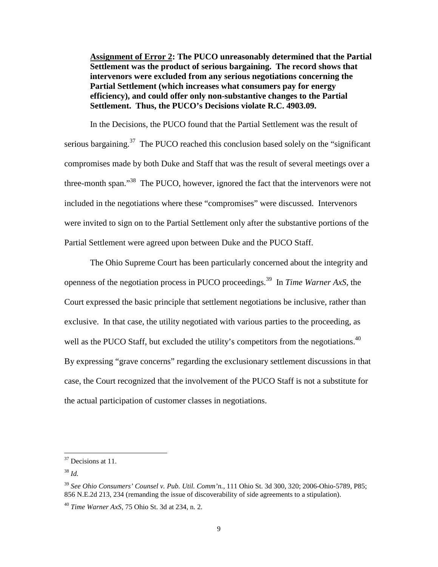**Assignment of Error 2: The PUCO unreasonably determined that the Partial Settlement was the product of serious bargaining. The record shows that intervenors were excluded from any serious negotiations concerning the Partial Settlement (which increases what consumers pay for energy efficiency), and could offer only non-substantive changes to the Partial Settlement. Thus, the PUCO's Decisions violate R.C. 4903.09.** 

In the Decisions, the PUCO found that the Partial Settlement was the result of serious bargaining.<sup>37</sup> The PUCO reached this conclusion based solely on the "significant" compromises made by both Duke and Staff that was the result of several meetings over a three-month span."<sup>38</sup> The PUCO, however, ignored the fact that the intervenors were not included in the negotiations where these "compromises" were discussed. Intervenors were invited to sign on to the Partial Settlement only after the substantive portions of the Partial Settlement were agreed upon between Duke and the PUCO Staff.

The Ohio Supreme Court has been particularly concerned about the integrity and openness of the negotiation process in PUCO proceedings.<sup>39</sup> In *Time Warner AxS*, the Court expressed the basic principle that settlement negotiations be inclusive, rather than exclusive. In that case, the utility negotiated with various parties to the proceeding, as well as the PUCO Staff, but excluded the utility's competitors from the negotiations. $^{40}$ By expressing "grave concerns" regarding the exclusionary settlement discussions in that case, the Court recognized that the involvement of the PUCO Staff is not a substitute for the actual participation of customer classes in negotiations.

<sup>&</sup>lt;sup>37</sup> Decisions at 11.

<sup>38</sup> *Id.* 

<sup>39</sup> *See Ohio Consumers' Counsel v. Pub. Util. Comm'n.*, 111 Ohio St. 3d 300, 320; 2006-Ohio-5789, P85; 856 N.E.2d 213, 234 (remanding the issue of discoverability of side agreements to a stipulation).

<sup>40</sup> *Time Warner AxS*, 75 Ohio St. 3d at 234, n. 2.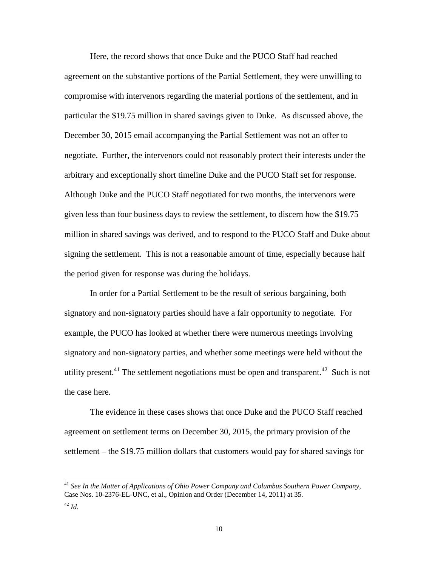Here, the record shows that once Duke and the PUCO Staff had reached agreement on the substantive portions of the Partial Settlement, they were unwilling to compromise with intervenors regarding the material portions of the settlement, and in particular the \$19.75 million in shared savings given to Duke. As discussed above, the December 30, 2015 email accompanying the Partial Settlement was not an offer to negotiate. Further, the intervenors could not reasonably protect their interests under the arbitrary and exceptionally short timeline Duke and the PUCO Staff set for response. Although Duke and the PUCO Staff negotiated for two months, the intervenors were given less than four business days to review the settlement, to discern how the \$19.75 million in shared savings was derived, and to respond to the PUCO Staff and Duke about signing the settlement. This is not a reasonable amount of time, especially because half the period given for response was during the holidays.

In order for a Partial Settlement to be the result of serious bargaining, both signatory and non-signatory parties should have a fair opportunity to negotiate. For example, the PUCO has looked at whether there were numerous meetings involving signatory and non-signatory parties, and whether some meetings were held without the utility present.<sup>41</sup> The settlement negotiations must be open and transparent.<sup>42</sup> Such is not the case here.

The evidence in these cases shows that once Duke and the PUCO Staff reached agreement on settlement terms on December 30, 2015, the primary provision of the settlement – the \$19.75 million dollars that customers would pay for shared savings for

<sup>41</sup> *See In the Matter of Applications of Ohio Power Company and Columbus Southern Power Company*, Case Nos. 10-2376-EL-UNC, et al., Opinion and Order (December 14, 2011) at 35.

 $^{42}$  *Id.*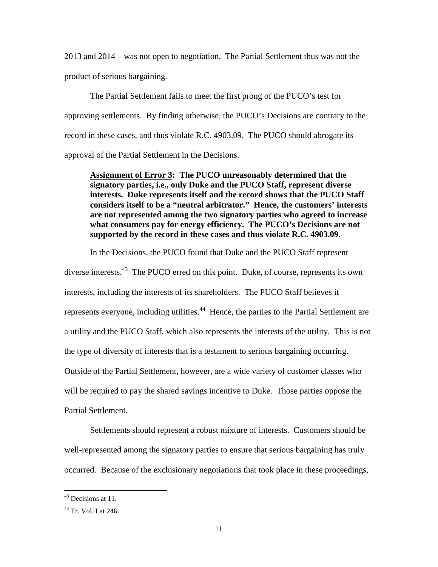2013 and 2014 – was not open to negotiation. The Partial Settlement thus was not the product of serious bargaining.

The Partial Settlement fails to meet the first prong of the PUCO's test for approving settlements. By finding otherwise, the PUCO's Decisions are contrary to the record in these cases, and thus violate R.C. 4903.09. The PUCO should abrogate its approval of the Partial Settlement in the Decisions.

**Assignment of Error 3: The PUCO unreasonably determined that the signatory parties, i.e., only Duke and the PUCO Staff, represent diverse interests. Duke represents itself and the record shows that the PUCO Staff considers itself to be a "neutral arbitrator." Hence, the customers' interests are not represented among the two signatory parties who agreed to increase what consumers pay for energy efficiency. The PUCO's Decisions are not supported by the record in these cases and thus violate R.C. 4903.09.** 

In the Decisions, the PUCO found that Duke and the PUCO Staff represent diverse interests.<sup>43</sup> The PUCO erred on this point. Duke, of course, represents its own interests, including the interests of its shareholders. The PUCO Staff believes it represents everyone, including utilities.<sup>44</sup> Hence, the parties to the Partial Settlement are a utility and the PUCO Staff, which also represents the interests of the utility. This is not the type of diversity of interests that is a testament to serious bargaining occurring. Outside of the Partial Settlement, however, are a wide variety of customer classes who will be required to pay the shared savings incentive to Duke. Those parties oppose the Partial Settlement.

Settlements should represent a robust mixture of interests. Customers should be well-represented among the signatory parties to ensure that serious bargaining has truly occurred. Because of the exclusionary negotiations that took place in these proceedings,

l

<sup>&</sup>lt;sup>43</sup> Decisions at 11.

 $44$  Tr. Vol. I at 246.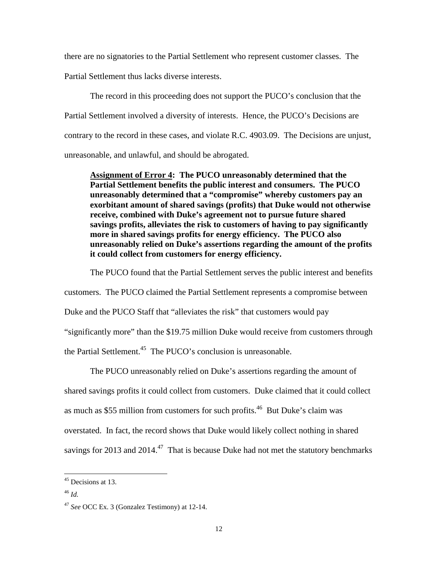there are no signatories to the Partial Settlement who represent customer classes. The Partial Settlement thus lacks diverse interests.

The record in this proceeding does not support the PUCO's conclusion that the Partial Settlement involved a diversity of interests. Hence, the PUCO's Decisions are contrary to the record in these cases, and violate R.C. 4903.09. The Decisions are unjust, unreasonable, and unlawful, and should be abrogated.

**Assignment of Error 4: The PUCO unreasonably determined that the Partial Settlement benefits the public interest and consumers. The PUCO unreasonably determined that a "compromise" whereby customers pay an exorbitant amount of shared savings (profits) that Duke would not otherwise receive, combined with Duke's agreement not to pursue future shared savings profits, alleviates the risk to customers of having to pay significantly more in shared savings profits for energy efficiency. The PUCO also unreasonably relied on Duke's assertions regarding the amount of the profits it could collect from customers for energy efficiency.** 

The PUCO found that the Partial Settlement serves the public interest and benefits customers. The PUCO claimed the Partial Settlement represents a compromise between Duke and the PUCO Staff that "alleviates the risk" that customers would pay "significantly more" than the \$19.75 million Duke would receive from customers through the Partial Settlement.<sup>45</sup> The PUCO's conclusion is unreasonable.

The PUCO unreasonably relied on Duke's assertions regarding the amount of shared savings profits it could collect from customers. Duke claimed that it could collect as much as \$55 million from customers for such profits.<sup>46</sup> But Duke's claim was overstated. In fact, the record shows that Duke would likely collect nothing in shared savings for 2013 and 2014.<sup>47</sup> That is because Duke had not met the statutory benchmarks

<sup>&</sup>lt;sup>45</sup> Decisions at 13.

<sup>46</sup> *Id.* 

<sup>47</sup> *See* OCC Ex. 3 (Gonzalez Testimony) at 12-14.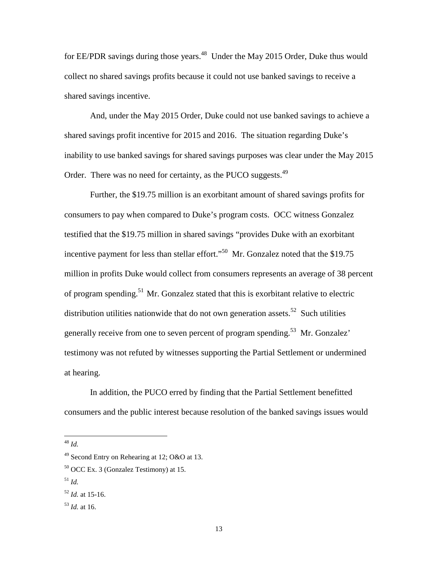for EE/PDR savings during those years.<sup>48</sup> Under the May 2015 Order, Duke thus would collect no shared savings profits because it could not use banked savings to receive a shared savings incentive.

And, under the May 2015 Order, Duke could not use banked savings to achieve a shared savings profit incentive for 2015 and 2016. The situation regarding Duke's inability to use banked savings for shared savings purposes was clear under the May 2015 Order. There was no need for certainty, as the PUCO suggests.<sup>49</sup>

Further, the \$19.75 million is an exorbitant amount of shared savings profits for consumers to pay when compared to Duke's program costs. OCC witness Gonzalez testified that the \$19.75 million in shared savings "provides Duke with an exorbitant incentive payment for less than stellar effort."<sup>50</sup> Mr. Gonzalez noted that the \$19.75 million in profits Duke would collect from consumers represents an average of 38 percent of program spending.<sup>51</sup> Mr. Gonzalez stated that this is exorbitant relative to electric distribution utilities nationwide that do not own generation assets.<sup>52</sup> Such utilities generally receive from one to seven percent of program spending.<sup>53</sup> Mr. Gonzalez' testimony was not refuted by witnesses supporting the Partial Settlement or undermined at hearing.

In addition, the PUCO erred by finding that the Partial Settlement benefitted consumers and the public interest because resolution of the banked savings issues would

<sup>48</sup> *Id.* 

 $\overline{a}$ 

 $^{51}$  *Id.* 

<sup>49</sup> Second Entry on Rehearing at 12; O&O at 13.

<sup>50</sup> OCC Ex. 3 (Gonzalez Testimony) at 15.

 $52$  *Id.* at 15-16.

<sup>53</sup> *Id.* at 16.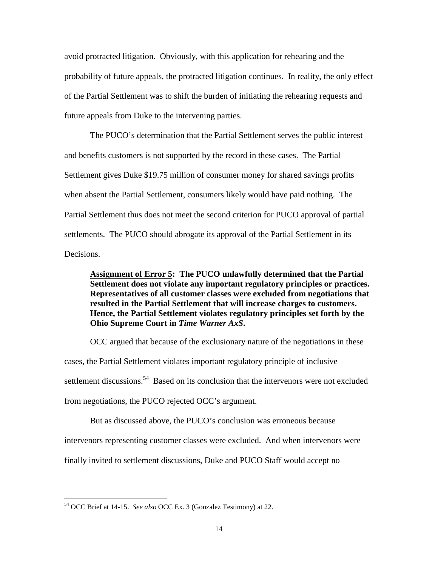avoid protracted litigation. Obviously, with this application for rehearing and the probability of future appeals, the protracted litigation continues. In reality, the only effect of the Partial Settlement was to shift the burden of initiating the rehearing requests and future appeals from Duke to the intervening parties.

The PUCO's determination that the Partial Settlement serves the public interest and benefits customers is not supported by the record in these cases. The Partial Settlement gives Duke \$19.75 million of consumer money for shared savings profits when absent the Partial Settlement, consumers likely would have paid nothing. The Partial Settlement thus does not meet the second criterion for PUCO approval of partial settlements. The PUCO should abrogate its approval of the Partial Settlement in its Decisions.

**Assignment of Error 5: The PUCO unlawfully determined that the Partial Settlement does not violate any important regulatory principles or practices. Representatives of all customer classes were excluded from negotiations that resulted in the Partial Settlement that will increase charges to customers. Hence, the Partial Settlement violates regulatory principles set forth by the Ohio Supreme Court in** *Time Warner AxS***.** 

OCC argued that because of the exclusionary nature of the negotiations in these cases, the Partial Settlement violates important regulatory principle of inclusive settlement discussions.<sup>54</sup> Based on its conclusion that the intervenors were not excluded from negotiations, the PUCO rejected OCC's argument.

But as discussed above, the PUCO's conclusion was erroneous because

intervenors representing customer classes were excluded. And when intervenors were

finally invited to settlement discussions, Duke and PUCO Staff would accept no

 $\overline{a}$ 

<sup>54</sup> OCC Brief at 14-15. *See also* OCC Ex. 3 (Gonzalez Testimony) at 22.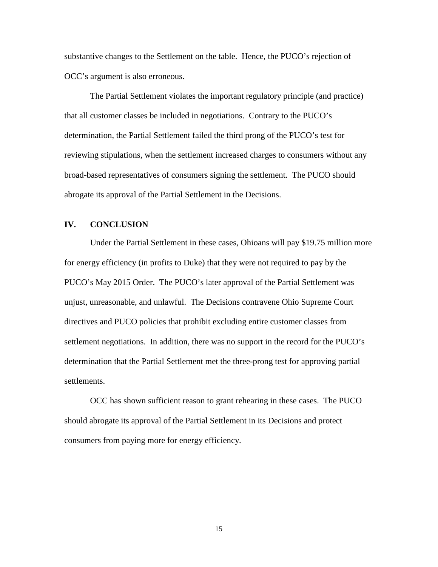substantive changes to the Settlement on the table. Hence, the PUCO's rejection of OCC's argument is also erroneous.

The Partial Settlement violates the important regulatory principle (and practice) that all customer classes be included in negotiations. Contrary to the PUCO's determination, the Partial Settlement failed the third prong of the PUCO's test for reviewing stipulations, when the settlement increased charges to consumers without any broad-based representatives of consumers signing the settlement. The PUCO should abrogate its approval of the Partial Settlement in the Decisions.

#### **IV. CONCLUSION**

Under the Partial Settlement in these cases, Ohioans will pay \$19.75 million more for energy efficiency (in profits to Duke) that they were not required to pay by the PUCO's May 2015 Order. The PUCO's later approval of the Partial Settlement was unjust, unreasonable, and unlawful. The Decisions contravene Ohio Supreme Court directives and PUCO policies that prohibit excluding entire customer classes from settlement negotiations. In addition, there was no support in the record for the PUCO's determination that the Partial Settlement met the three-prong test for approving partial settlements.

OCC has shown sufficient reason to grant rehearing in these cases. The PUCO should abrogate its approval of the Partial Settlement in its Decisions and protect consumers from paying more for energy efficiency.

15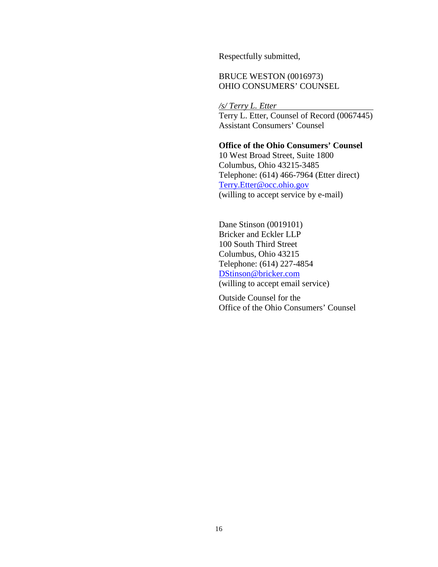Respectfully submitted,

BRUCE WESTON (0016973) OHIO CONSUMERS' COUNSEL

*/s/ Terry L. Etter*  Terry L. Etter, Counsel of Record (0067445) Assistant Consumers' Counsel

 **Office of the Ohio Consumers' Counsel**  10 West Broad Street, Suite 1800 Columbus, Ohio 43215-3485 Telephone: (614) 466-7964 (Etter direct) Terry.Etter@occ.ohio.gov (willing to accept service by e-mail)

Dane Stinson (0019101) Bricker and Eckler LLP 100 South Third Street Columbus, Ohio 43215 Telephone: (614) 227-4854 DStinson@bricker.com (willing to accept email service)

Outside Counsel for the Office of the Ohio Consumers' Counsel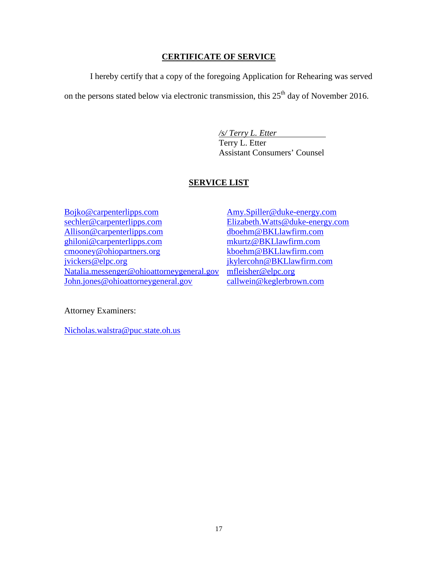## **CERTIFICATE OF SERVICE**

I hereby certify that a copy of the foregoing Application for Rehearing was served

on the persons stated below via electronic transmission, this  $25<sup>th</sup>$  day of November 2016.

*/s/ Terry L. Etter* Terry L. Etter Assistant Consumers' Counsel

## **SERVICE LIST**

Bojko@carpenterlipps.com sechler@carpenterlipps.com Allison@carpenterlipps.com ghiloni@carpenterlipps.com cmooney@ohiopartners.org jvickers@elpc.org Natalia.messenger@ohioattorneygeneral.gov John.jones@ohioattorneygeneral.gov

Amy.Spiller@duke-energy.com Elizabeth.Watts@duke-energy.com dboehm@BKLlawfirm.com mkurtz@BKLlawfirm.com kboehm@BKLlawfirm.com jkylercohn@BKLlawfirm.com mfleisher@elpc.org callwein@keglerbrown.com

Attorney Examiners:

Nicholas.walstra@puc.state.oh.us